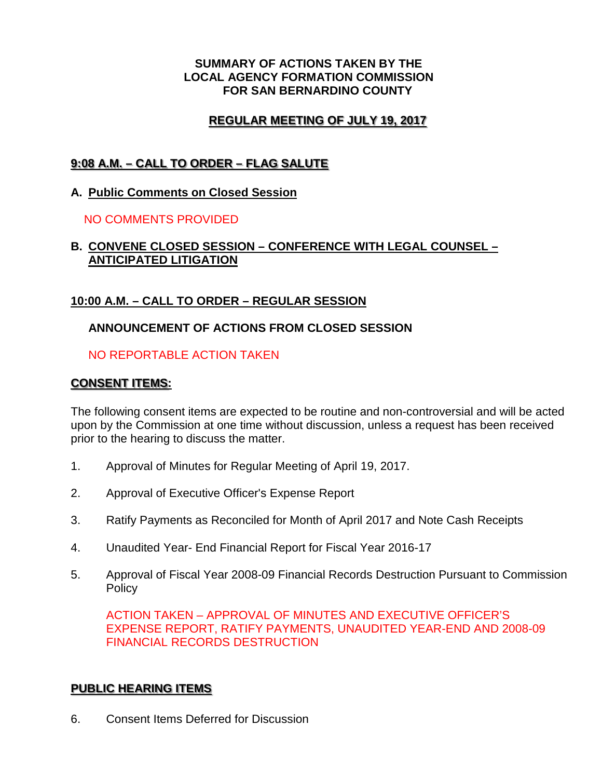#### **SUMMARY OF ACTIONS TAKEN BY THE LOCAL AGENCY FORMATION COMMISSION FOR SAN BERNARDINO COUNTY**

# **REGULAR MEETING OF JULY 19, 2017**

# **9:08 A.M. – CALL TO ORDER – FLAG SALUTE**

### **A. Public Comments on Closed Session**

### NO COMMENTS PROVIDED

### **B. CONVENE CLOSED SESSION – CONFERENCE WITH LEGAL COUNSEL – ANTICIPATED LITIGATION**

### **10:00 A.M. – CALL TO ORDER – REGULAR SESSION**

### **ANNOUNCEMENT OF ACTIONS FROM CLOSED SESSION**

### NO REPORTABLE ACTION TAKEN

### **CONSENT ITEMS:**

The following consent items are expected to be routine and non-controversial and will be acted upon by the Commission at one time without discussion, unless a request has been received prior to the hearing to discuss the matter.

- 1. Approval of Minutes for Regular Meeting of April 19, 2017.
- 2. Approval of Executive Officer's Expense Report
- 3. Ratify Payments as Reconciled for Month of April 2017 and Note Cash Receipts
- 4. Unaudited Year- End Financial Report for Fiscal Year 2016-17
- 5. Approval of Fiscal Year 2008-09 Financial Records Destruction Pursuant to Commission **Policy**

ACTION TAKEN – APPROVAL OF MINUTES AND EXECUTIVE OFFICER'S EXPENSE REPORT, RATIFY PAYMENTS, UNAUDITED YEAR-END AND 2008-09 FINANCIAL RECORDS DESTRUCTION

### **PUBLIC HEARING ITEMS**

6. Consent Items Deferred for Discussion